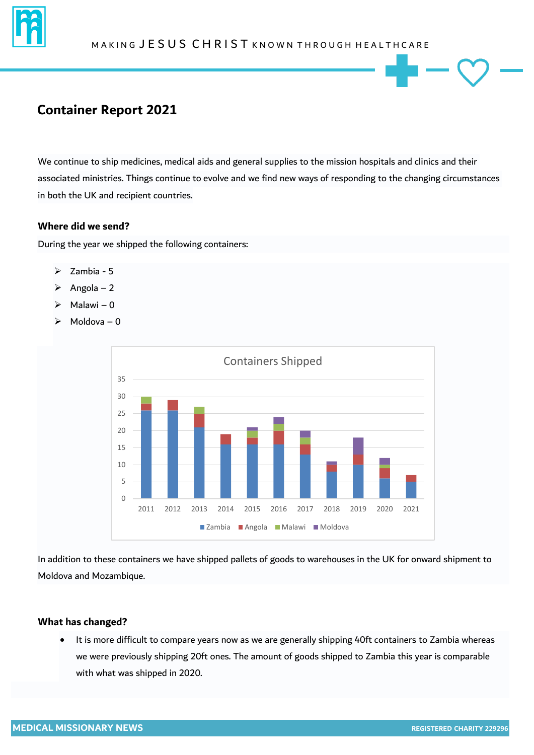

# **Container Report 2021**

We continue to ship medicines, medical aids and general supplies to the mission hospitals and clinics and their associated ministries. Things continue to evolve and we find new ways of responding to the changing circumstances in both the UK and recipient countries.

### **Where did we send?**

During the year we shipped the following containers:

- $\geq$  Zambia 5
- $\triangleright$  Angola 2
- $\triangleright$  Malawi 0
- $\triangleright$  Moldova 0



In addition to these containers we have shipped pallets of goods to warehouses in the UK for onward shipment to Moldova and Mozambique.

#### **What has changed?**

 It is more difficult to compare years now as we are generally shipping 40ft containers to Zambia whereas we were previously shipping 20ft ones. The amount of goods shipped to Zambia this year is comparable with what was shipped in 2020.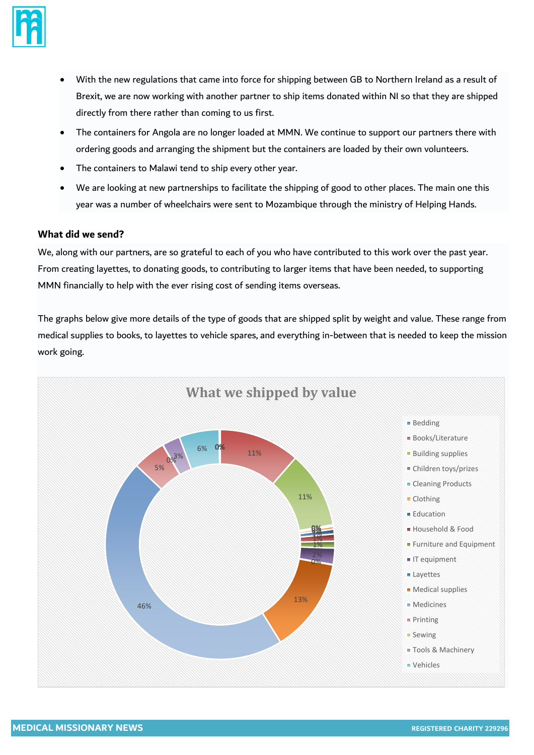

- With the new regulations that came into force for shipping between GB to Northern Ireland as a result of Brexit, we are now working with another partner to ship items donated within NI so that they are shipped directly from there rather than coming to us first.
- The containers for Angola are no longer loaded at MMN. We continue to support our partners there with ordering goods and arranging the shipment but the containers are loaded by their own volunteers.
- The containers to Malawi tend to ship every other year.
- We are looking at new partnerships to facilitate the shipping of good to other places. The main one this year was a number of wheelchairs were sent to Mozambique through the ministry of Helping Hands.

### **What did we send?**

We, along with our partners, are so grateful to each of you who have contributed to this work over the past year. From creating layettes, to donating goods, to contributing to larger items that have been needed, to supporting MMN financially to help with the ever rising cost of sending items overseas.

The graphs below give more details of the type of goods that are shipped split by weight and value. These range from medical supplies to books, to layettes to vehicle spares, and everything in-between that is needed to keep the mission work going.

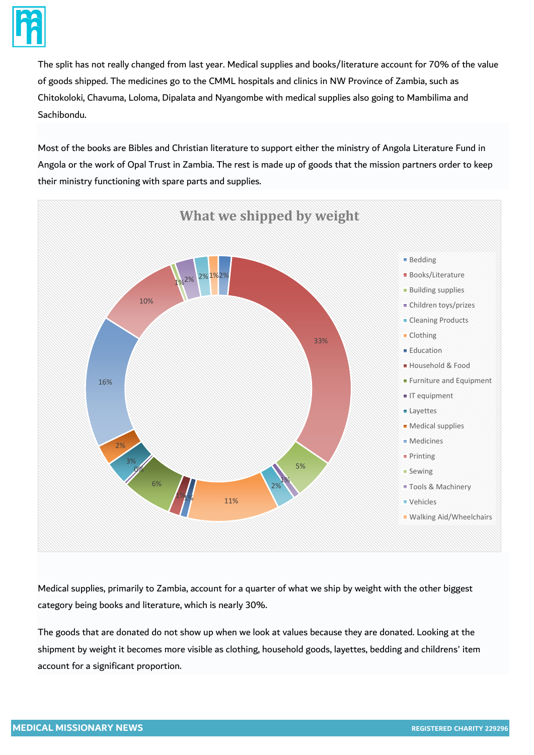

The split has not really changed from last year. Medical supplies and books/literature account for 70% of the value of goods shipped. The medicines go to the CMML hospitals and clinics in NW Province of Zambia, such as Chitokoloki, Chavuma, Loloma, Dipalata and Nyangombe with medical supplies also going to Mambilima and Sachibondu.

Most of the books are Bibles and Christian literature to support either the ministry of Angola Literature Fund in Angola or the work of Opal Trust in Zambia. The rest is made up of goods that the mission partners order to keep their ministry functioning with spare parts and supplies.



Medical supplies, primarily to Zambia, account for a quarter of what we ship by weight with the other biggest category being books and literature, which is nearly 30%.

The goods that are donated do not show up when we look at values because they are donated. Looking at the shipment by weight it becomes more visible as clothing, household goods, layettes, bedding and childrens' item account for a significant proportion.